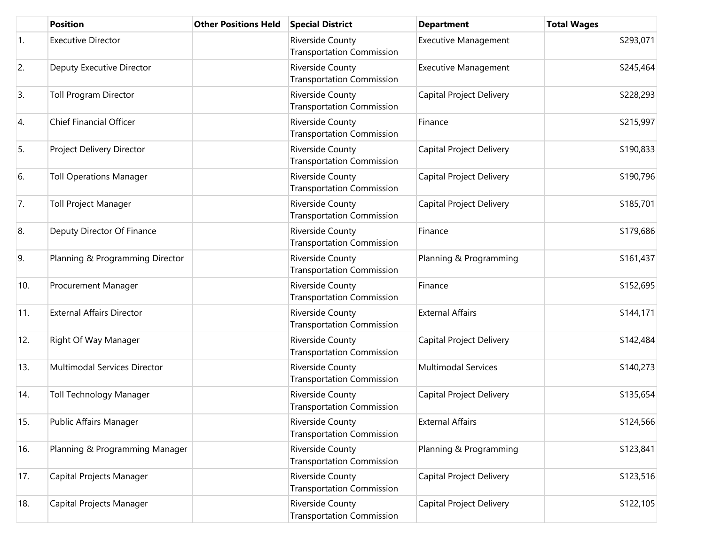|     | <b>Position</b>                  | <b>Other Positions Held</b> | <b>Special District</b>                                     | <b>Department</b>               | <b>Total Wages</b> |
|-----|----------------------------------|-----------------------------|-------------------------------------------------------------|---------------------------------|--------------------|
| 1.  | <b>Executive Director</b>        |                             | Riverside County<br><b>Transportation Commission</b>        | <b>Executive Management</b>     | \$293,071          |
| 2.  | Deputy Executive Director        |                             | Riverside County<br><b>Transportation Commission</b>        | <b>Executive Management</b>     | \$245,464          |
| 3.  | <b>Toll Program Director</b>     |                             | Riverside County<br><b>Transportation Commission</b>        | <b>Capital Project Delivery</b> | \$228,293          |
| 4.  | <b>Chief Financial Officer</b>   |                             | Riverside County<br><b>Transportation Commission</b>        | Finance                         | \$215,997          |
| 5.  | Project Delivery Director        |                             | Riverside County<br><b>Transportation Commission</b>        | Capital Project Delivery        | \$190,833          |
| 6.  | <b>Toll Operations Manager</b>   |                             | Riverside County<br><b>Transportation Commission</b>        | Capital Project Delivery        | \$190,796          |
| 7.  | <b>Toll Project Manager</b>      |                             | Riverside County<br><b>Transportation Commission</b>        | Capital Project Delivery        | \$185,701          |
| 8.  | Deputy Director Of Finance       |                             | Riverside County<br><b>Transportation Commission</b>        | Finance                         | \$179,686          |
| 9.  | Planning & Programming Director  |                             | Riverside County<br><b>Transportation Commission</b>        | Planning & Programming          | \$161,437          |
| 10. | <b>Procurement Manager</b>       |                             | Riverside County<br><b>Transportation Commission</b>        | Finance                         | \$152,695          |
| 11. | <b>External Affairs Director</b> |                             | Riverside County<br><b>Transportation Commission</b>        | <b>External Affairs</b>         | \$144,171          |
| 12. | Right Of Way Manager             |                             | Riverside County<br><b>Transportation Commission</b>        | Capital Project Delivery        | \$142,484          |
| 13. | Multimodal Services Director     |                             | <b>Riverside County</b><br><b>Transportation Commission</b> | <b>Multimodal Services</b>      | \$140,273          |
| 14. | <b>Toll Technology Manager</b>   |                             | Riverside County<br><b>Transportation Commission</b>        | Capital Project Delivery        | \$135,654          |
| 15. | Public Affairs Manager           |                             | Riverside County<br><b>Transportation Commission</b>        | <b>External Affairs</b>         | \$124,566          |
| 16. | Planning & Programming Manager   |                             | Riverside County<br><b>Transportation Commission</b>        | Planning & Programming          | \$123,841          |
| 17. | Capital Projects Manager         |                             | Riverside County<br><b>Transportation Commission</b>        | Capital Project Delivery        | \$123,516          |
| 18. | Capital Projects Manager         |                             | Riverside County<br><b>Transportation Commission</b>        | Capital Project Delivery        | \$122,105          |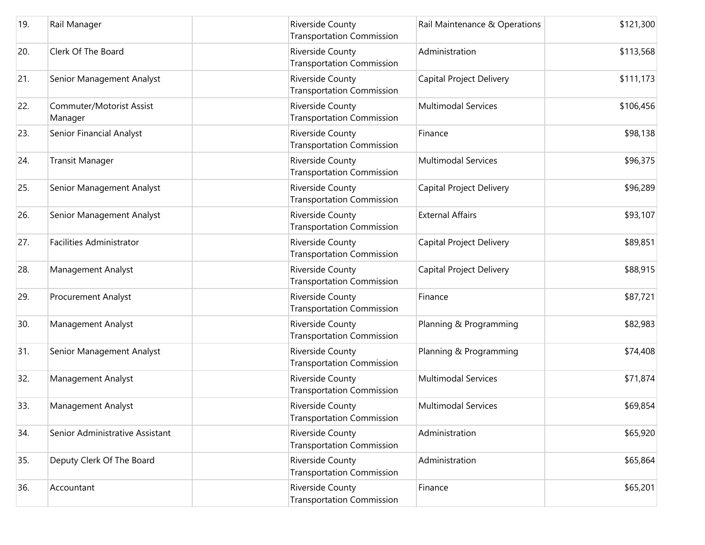| 19. | Rail Manager                        | Riverside County<br><b>Transportation Commission</b> | Rail Maintenance & Operations   | \$121,300 |
|-----|-------------------------------------|------------------------------------------------------|---------------------------------|-----------|
| 20. | Clerk Of The Board                  | Riverside County<br><b>Transportation Commission</b> | Administration                  | \$113,568 |
| 21. | Senior Management Analyst           | Riverside County<br><b>Transportation Commission</b> | Capital Project Delivery        | \$111,173 |
| 22. | Commuter/Motorist Assist<br>Manager | Riverside County<br><b>Transportation Commission</b> | <b>Multimodal Services</b>      | \$106,456 |
| 23. | Senior Financial Analyst            | Riverside County<br><b>Transportation Commission</b> | Finance                         | \$98,138  |
| 24. | <b>Transit Manager</b>              | Riverside County<br><b>Transportation Commission</b> | <b>Multimodal Services</b>      | \$96,375  |
| 25. | Senior Management Analyst           | Riverside County<br><b>Transportation Commission</b> | Capital Project Delivery        | \$96,289  |
| 26. | Senior Management Analyst           | Riverside County<br><b>Transportation Commission</b> | <b>External Affairs</b>         | \$93,107  |
| 27. | <b>Facilities Administrator</b>     | Riverside County<br><b>Transportation Commission</b> | Capital Project Delivery        | \$89,851  |
| 28. | Management Analyst                  | Riverside County<br><b>Transportation Commission</b> | <b>Capital Project Delivery</b> | \$88,915  |
| 29. | Procurement Analyst                 | Riverside County<br><b>Transportation Commission</b> | Finance                         | \$87,721  |
| 30. | Management Analyst                  | Riverside County<br><b>Transportation Commission</b> | Planning & Programming          | \$82,983  |
| 31. | Senior Management Analyst           | Riverside County<br><b>Transportation Commission</b> | Planning & Programming          | \$74,408  |
| 32. | Management Analyst                  | Riverside County<br><b>Transportation Commission</b> | <b>Multimodal Services</b>      | \$71,874  |
| 33. | Management Analyst                  | Riverside County<br><b>Transportation Commission</b> | <b>Multimodal Services</b>      | \$69,854  |
| 34. | Senior Administrative Assistant     | Riverside County<br><b>Transportation Commission</b> | Administration                  | \$65,920  |
| 35. | Deputy Clerk Of The Board           | Riverside County<br><b>Transportation Commission</b> | Administration                  | \$65,864  |
| 36. | Accountant                          | Riverside County<br><b>Transportation Commission</b> | Finance                         | \$65,201  |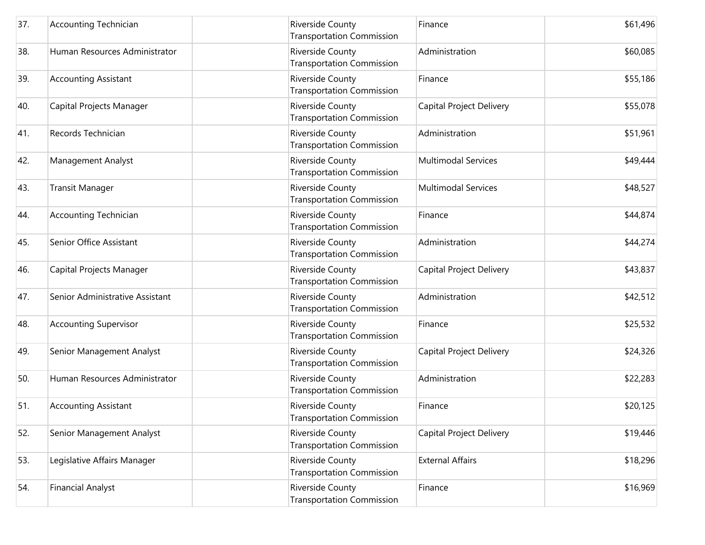| 37. | <b>Accounting Technician</b>    | Riverside County<br><b>Transportation Commission</b> | Finance                    | \$61,496 |
|-----|---------------------------------|------------------------------------------------------|----------------------------|----------|
| 38. | Human Resources Administrator   | Riverside County<br><b>Transportation Commission</b> | Administration             | \$60,085 |
| 39. | <b>Accounting Assistant</b>     | Riverside County<br><b>Transportation Commission</b> | Finance                    | \$55,186 |
| 40. | Capital Projects Manager        | Riverside County<br><b>Transportation Commission</b> | Capital Project Delivery   | \$55,078 |
| 41. | Records Technician              | Riverside County<br><b>Transportation Commission</b> | Administration             | \$51,961 |
| 42. | Management Analyst              | Riverside County<br><b>Transportation Commission</b> | <b>Multimodal Services</b> | \$49,444 |
| 43. | <b>Transit Manager</b>          | Riverside County<br><b>Transportation Commission</b> | <b>Multimodal Services</b> | \$48,527 |
| 44. | <b>Accounting Technician</b>    | Riverside County<br><b>Transportation Commission</b> | Finance                    | \$44,874 |
| 45. | Senior Office Assistant         | Riverside County<br><b>Transportation Commission</b> | Administration             | \$44,274 |
| 46. | Capital Projects Manager        | Riverside County<br><b>Transportation Commission</b> | Capital Project Delivery   | \$43,837 |
| 47. | Senior Administrative Assistant | Riverside County<br><b>Transportation Commission</b> | Administration             | \$42,512 |
| 48. | <b>Accounting Supervisor</b>    | Riverside County<br><b>Transportation Commission</b> | Finance                    | \$25,532 |
| 49. | Senior Management Analyst       | Riverside County<br><b>Transportation Commission</b> | Capital Project Delivery   | \$24,326 |
| 50. | Human Resources Administrator   | Riverside County<br><b>Transportation Commission</b> | Administration             | \$22,283 |
| 51. | <b>Accounting Assistant</b>     | Riverside County<br>Transportation Commission        | Finance                    | \$20,125 |
| 52. | Senior Management Analyst       | Riverside County<br><b>Transportation Commission</b> | Capital Project Delivery   | \$19,446 |
| 53. | Legislative Affairs Manager     | Riverside County<br><b>Transportation Commission</b> | <b>External Affairs</b>    | \$18,296 |
| 54. | <b>Financial Analyst</b>        | Riverside County<br><b>Transportation Commission</b> | Finance                    | \$16,969 |